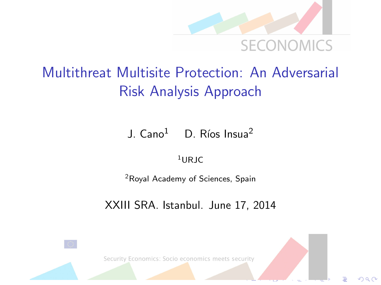

 $\Omega$ 

### Multithreat Multisite Protection: An Adversarial Risk Analysis Approach

J.  $Cano<sup>1</sup>$  D. Ríos Insua<sup>2</sup>

 $1$ URIC

<sup>2</sup>Royal Academy of Sciences, Spain

XXIII SRA. Istanbul. June 17, 2014

Security Economics: Socio economics meets security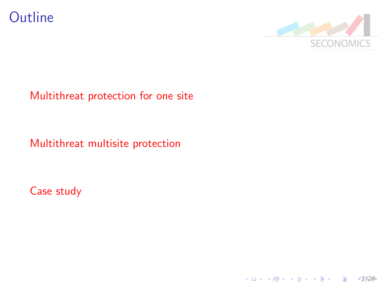



#### [Multithreat protection for one site](#page-3-0)

#### [Multithreat multisite protection](#page-9-0)

[Case study](#page-11-0)

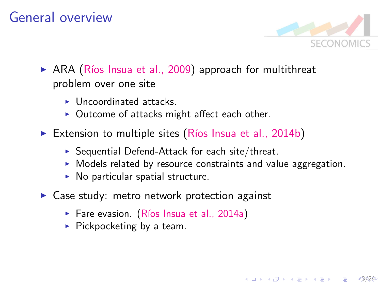#### General overview



3/24

 $\mathbf{A} \equiv \mathbf{A} + \mathbf{B} + \mathbf{A} + \mathbf{B} + \mathbf{A} + \mathbf{B} + \mathbf{A} + \mathbf{B} + \mathbf{A} + \mathbf{B} + \mathbf{A} + \mathbf{B} + \mathbf{A} + \mathbf{B} + \mathbf{A} + \mathbf{B} + \mathbf{A} + \mathbf{B} + \mathbf{A} + \mathbf{B} + \mathbf{A} + \mathbf{B} + \mathbf{A} + \mathbf{B} + \mathbf{A} + \mathbf{B} + \mathbf{A} + \mathbf{B} + \mathbf{A} + \mathbf{B} + \math$ 

- $\triangleright$  ARA (Ríos Insua et al., 2009) approach for multithreat problem over one site
	- $\blacktriangleright$  Uncoordinated attacks.
	- $\triangleright$  Outcome of attacks might affect each other.
- Extension to multiple sites (Ríos Insua et al., 2014b)
	- $\triangleright$  Sequential Defend-Attack for each site/threat.
	- $\triangleright$  Models related by resource constraints and value aggregation.
	- $\triangleright$  No particular spatial structure.
- $\triangleright$  Case study: metro network protection against
	- $\triangleright$  Fare evasion. (Ríos Insua et al., 2014a)
	- $\blacktriangleright$  Pickpocketing by a team.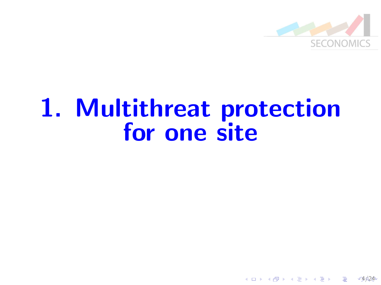

 $4424$ 

B

 $4$  ロ )  $4$   $\overline{r}$  )  $4$   $\overline{z}$  )  $4$   $\overline{z}$  )

## <span id="page-3-0"></span>1. Multithreat protection for one site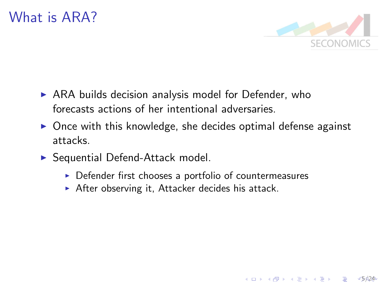

 $5624$ 

E LIZER KENNED K

- $\triangleright$  ARA builds decision analysis model for Defender, who forecasts actions of her intentional adversaries.
- $\triangleright$  Once with this knowledge, she decides optimal defense against attacks.
- $\triangleright$  Sequential Defend-Attack model.
	- $\triangleright$  Defender first chooses a portfolio of countermeasures
	- $\triangleright$  After observing it, Attacker decides his attack.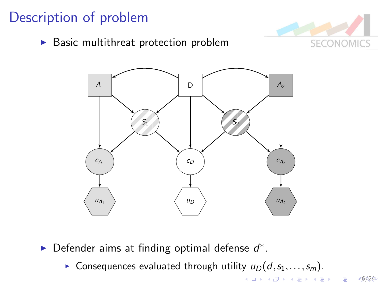#### Description of problem

 $\blacktriangleright$  Basic multithreat protection problem



 $6624$ 

イロト 不優 トイ選 トイ選 トー 選



Defender aims at finding optimal defense  $d^*$ .

**Consequences evaluated through utility**  $u_D(d, s_1,...,s_m)$ .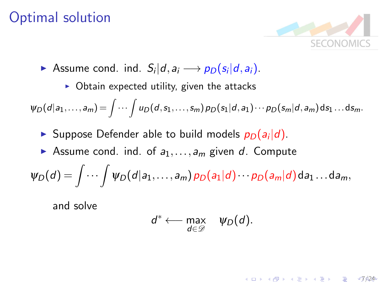#### Optimal solution



 $(1)$   $(1)$   $(1)$   $(1)$   $(1)$   $(1)$   $(1)$   $(1)$   $(1)$   $(1)$   $(1)$   $(1)$   $(1)$   $(1)$   $(1)$   $(1)$   $(1)$   $(1)$   $(1)$   $(1)$   $(1)$   $(1)$   $(1)$   $(1)$   $(1)$   $(1)$   $(1)$   $(1)$   $(1)$   $(1)$   $(1)$   $(1)$   $(1)$   $(1)$   $(1)$   $(1)$   $(1)$ 

- Assume cond. ind.  $S_i|d, a_i \longrightarrow p_D(s_i|d, a_i)$ .
	- $\triangleright$  Obtain expected utility, given the attacks

 $\psi_D(d|a_1,\ldots,a_m) \!= \int\!\cdots\int\!u_D(d,s_1,\ldots,s_m)\,p_D(s_1|d,a_1)\cdots p_D(s_m|d,a_m)\,\mathrm{d} s_1\ldots\mathrm{d} s_m.$ 

- Suppose Defender able to build models  $p_D(a_i|d)$ .
- Assume cond. ind. of  $a_1, \ldots, a_m$  given d. Compute

$$
\psi_D(d)=\int\cdots\int\psi_D(d|a_1,\ldots,a_m)\,p_D(a_1|d)\cdots p_D(a_m|d)\,da_1\ldots da_m,
$$

and solve

$$
d^* \longleftarrow \max_{d \in \mathcal{D}} \quad \psi_D(d).
$$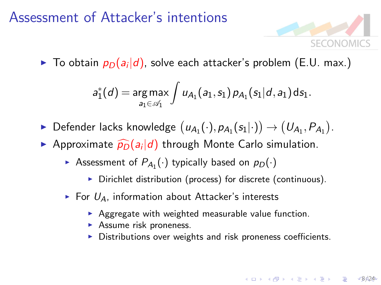#### Assessment of Attacker's intentions



 $68624$ 

 $\blacktriangleright$  To obtain  $p_D(a_i|d)$ , solve each attacker's problem (E.U. max.)

$$
a_1^*(d) = \underset{a_1 \in \mathscr{A}_1}{\arg \max} \int u_{A_1}(a_1, s_1) p_{A_1}(s_1|d, a_1) ds_1.
$$

- ▶ Defender lacks knowledge  $(u_{A_1}(\cdot),p_{A_1}(s_1|\cdot)) \rightarrow (U_{A_1},P_{A_1})$ .
- Approximate  $\widehat{p_D}(a_i|d)$  through Monte Carlo simulation.
	- Assessment of  $P_{A_1}(\cdot)$  typically based on  $p_D(\cdot)$ 
		- $\triangleright$  Dirichlet distribution (process) for discrete (continuous).
	- $\triangleright$  For  $U_A$ , information about Attacker's interests
		- $\triangleright$  Aggregate with weighted measurable value function.
		- $\blacktriangleright$  Assume risk proneness.
		- $\triangleright$  Distributions over weights and risk proneness coefficients.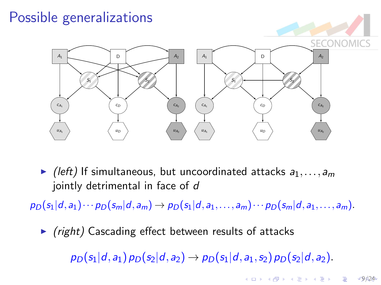### Possible generalizations



 $\blacktriangleright$  (left) If simultaneous, but uncoordinated attacks  $a_1, \ldots, a_m$ jointly detrimental in face of d

 $p_D(s_1|d,a_1)\cdots p_D(s_m|d,a_m) \to p_D(s_1|d,a_1,\ldots,a_m)\cdots p_D(s_m|d,a_1,\ldots,a_m).$ 

 $\triangleright$  (right) Cascading effect between results of attacks

 $p_D(s_1|d,a_1)p_D(s_2|d,a_2) \rightarrow p_D(s_1|d,a_1,s_2)p_D(s_2|d,a_2).$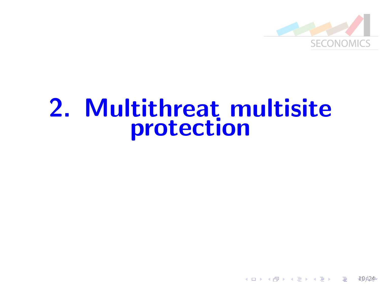

10/24

B

 $4$  ロ )  $4$   $\overline{r}$  )  $4$   $\overline{z}$  )  $4$   $\overline{z}$  )

## <span id="page-9-0"></span>2. Multithreat multisite protection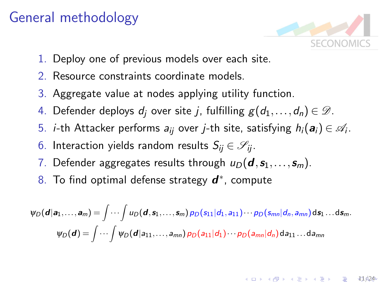#### General methodology



 $11/24$ 

- 1. Deploy one of previous models over each site.
- 2. Resource constraints coordinate models.
- 3. Aggregate value at nodes applying utility function.
- 4. Defender deploys  $d_i$  over site j, fulfilling  $g(d_1,\ldots,d_n) \in \mathscr{D}$ .
- 5. *i*-th Attacker performs  $a_{ij}$  over *j*-th site, satisfying  $h_i(\bm{a}_i) \in \mathscr{A}_i$ .
- 6. Interaction yields random results  $S_{ii} \in \mathscr{S}_{ii}$ .
- 7. Defender aggregates results through  $u_D(\boldsymbol{d}, s_1,\ldots, s_m)$ .
- 8. To find optimal defense strategy  $\boldsymbol{d}^*$ , compute

$$
\psi_D(\boldsymbol{d}|\mathbf{a}_1,\ldots,\mathbf{a}_m)=\int\cdots\int u_D(\boldsymbol{d},\mathbf{s}_1,\ldots,\mathbf{s}_m)\,p_D(s_{11}|d_1,a_{11})\cdots p_D(s_{mn}|d_n,a_{mn})\,\mathrm{d}\mathbf{s}_1\ldots\mathrm{d}\mathbf{s}_m.
$$

$$
\psi_D(\boldsymbol{d})=\int\cdots\int\psi_D(\boldsymbol{d}|a_{11},\ldots,a_{mn})\,p_D(a_{11}|d_1)\cdots p_D(a_{mn}|d_n)\,\mathrm{d}a_{11}\ldots\mathrm{d}a_{mn}
$$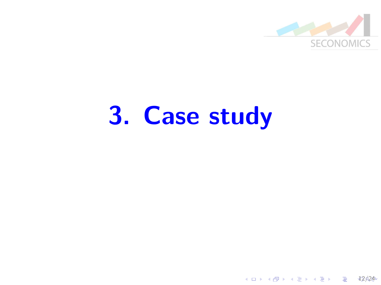

# <span id="page-11-0"></span>3. Case study

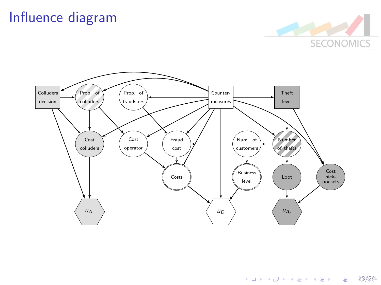#### Influence diagram





13/24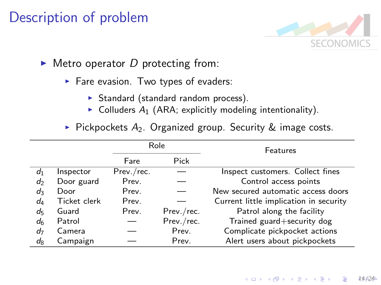#### Description of problem

![](_page_13_Picture_1.jpeg)

- $\triangleright$  Metro operator D protecting from:
	- $\blacktriangleright$  Fare evasion. Two types of evaders:
		- $\triangleright$  Standard (standard random process).
		- $\triangleright$  Colluders A<sub>1</sub> (ARA; explicitly modeling intentionality).
	- $\triangleright$  Pickpockets A<sub>2</sub>. Organized group. Security & image costs.

|                |              |            | Role       | Features                               |  |  |
|----------------|--------------|------------|------------|----------------------------------------|--|--|
|                |              | Fare       | Pick       |                                        |  |  |
| $d_1$          | Inspector    | Prev./rec. |            | Inspect customers. Collect fines       |  |  |
| d              | Door guard   | Prev.      |            | Control access points                  |  |  |
| d٩             | Door         | Prev.      |            | New secured automatic access doors     |  |  |
| d <sub>4</sub> | Ticket clerk | Prev.      |            | Current little implication in security |  |  |
| d5             | Guard        | Prev.      | Prev./rec. | Patrol along the facility              |  |  |
| dß             | Patrol       |            | Prev./rec. | Trained guard+security dog             |  |  |
| d7             | Camera       |            | Prev.      | Complicate pickpocket actions          |  |  |
| $d_8$          | Campaign     |            | Prev.      | Alert users about pickpockets          |  |  |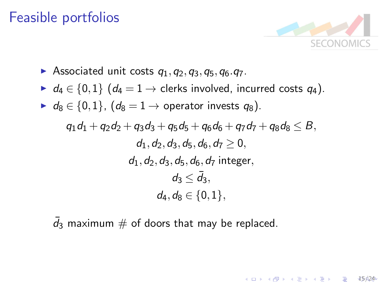#### Feasible portfolios

![](_page_14_Picture_1.jpeg)

1 D > 1 d + 1 d + 1 d + 1 d + 1 d + 1 d + 1 d + 1 d + 1 d + 1 d + 1 d + 1 d + 1 d + 1 d + 1 d + 1 d + 1 d + 1 d + 1 d + 1 d + 1 d + 1 d + 1 d + 1 d + 1 d + 1 d + 1 d + 1 d + 1 d + 1 d + 1 d + 1 d + 1 d + 1 d + 1 d + 1 d +

- Associated unit costs  $q_1, q_2, q_3, q_5, q_6, q_7$ .
- $\blacktriangleright$  d<sub>4</sub>  $\in$  {0,1} (d<sub>4</sub> = 1  $\rightarrow$  clerks involved, incurred costs q<sub>4</sub>).
- $\blacktriangleright$  d<sub>8</sub>  $\in$  {0,1}, (d<sub>8</sub> = 1  $\rightarrow$  operator invests q<sub>8</sub>).

$$
\begin{aligned} q_1d_1 + q_2d_2 + q_3d_3 + q_5d_5 + q_6d_6 + q_7d_7 + q_8d_8 &\leq B, \\ d_1, d_2, d_3, d_5, d_6, d_7 &\geq 0, \\ d_1, d_2, d_3, d_5, d_6, d_7 \text{ integer}, \\ d_3 &\leq \bar{d}_3, \\ d_4, d_8 &\in \{0, 1\}, \end{aligned}
$$

 $\bar{d}_3$  maximum  $\#$  of doors that may be replaced.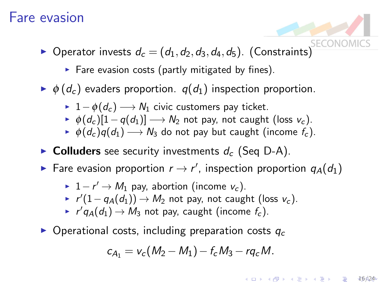#### Fare evasion

- **•** Operator invests  $d_c = (d_1, d_2, d_3, d_4, d_5)$ . (Constraints)
	- $\triangleright$  Fare evasion costs (partly mitigated by fines).
- $\blacktriangleright \phi(d_c)$  evaders proportion.  $q(d_1)$  inspection proportion.
	- $\rightarrow 1-\phi(d_c) \rightarrow N_1$  civic customers pay ticket.
	- $\phi(d_c)[1-q(d_1)] \longrightarrow N_2$  not pay, not caught (loss  $v_c$ ).
	- $\phi(d_c)q(d_1) \longrightarrow N_3$  do not pay but caught (income  $f_c$ ).
- Colluders see security investments  $d_c$  (Seq D-A).
- ► Fare evasion proportion  $r \rightarrow r'$ , inspection proportion  $q_A(d_1)$ 
	- ►  $1-r' \rightarrow M_1$  pay, abortion (income  $v_c$ ).
	- ►  $r'(1-q_A(d_1)) \rightarrow M_2$  not pay, not caught (loss  $v_c$ ).
	- $\blacktriangleright$   $r'q_A(d_1) \rightarrow M_3$  not pay, caught (income  $f_c$ ).
- $\triangleright$  Operational costs, including preparation costs  $q_c$

$$
c_{A_1} = v_c(M_2 - M_1) - f_c M_3 - r q_c M.
$$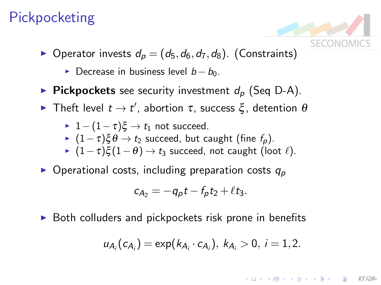#### **Pickpocketing**

- ▶ Operator invests  $d_p = (d_5, d_6, d_7, d_8)$ . (Constraints)
	- ► Decrease in business level  $b b_0$ .
- **Pickpockets** see security investment  $d_p$  (Seq D-A).
- $\blacktriangleright$  Theft level  $t \to t'$ , abortion τ, success ξ, detention  $\theta$

\n- ▶ 
$$
1 - (1 - \tau)\xi \to t_1
$$
 not succeed.
\n- ▶  $(1 - \tau)\xi \theta \to t_2$  succeed, but caught (fine  $f_p$ ).
\n- ▶  $(1 - \tau)\xi(1 - \theta) \to t_3$  succeed, not caught (loot  $\ell$ ).
\n

 $\triangleright$  Operational costs, including preparation costs  $q_p$ 

$$
c_{A_2}=-q_p t-f_p t_2+\ell t_3.
$$

 $\triangleright$  Both colluders and pickpockets risk prone in benefits

$$
u_{A_i}(c_{A_i}) = \exp(k_{A_i} \cdot c_{A_i}), k_{A_i} > 0, i = 1, 2.
$$

17/24

E LIZER KENNED K

**SECONO**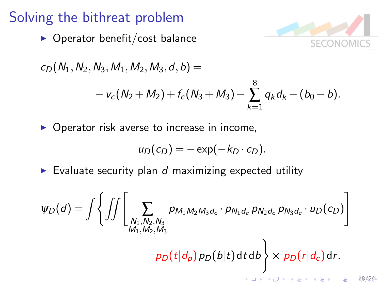#### Solving the bithreat problem

 $\triangleright$  Operator benefit/cost balance

![](_page_17_Picture_2.jpeg)

18/24

$$
c_D(N_1, N_2, N_3, M_1, M_2, M_3, d, b) =
$$
  
-  $v_c(N_2 + M_2) + f_c(N_3 + M_3) - \sum_{k=1}^{8} q_k d_k - (b_0 - b).$ 

 $\triangleright$  Operator risk averse to increase in income,

$$
u_D(c_D)=-\exp(-k_D\cdot c_D).
$$

 $\triangleright$  Evaluate security plan d maximizing expected utility

$$
\psi_D(d) = \int \left\{ \iint \left[ \sum_{\substack{N_1, N_2, N_3 \\ M_1, M_2, M_3}} p_{M_1 M_2 M_3 d_c} \cdot p_{N_1 d_c} p_{N_2 d_c} p_{N_3 d_c} \cdot u_D(c_D) \right] \right\}
$$

 $\rho_D(t|d_p) \rho_D(b|t)$ d $t$  d $b$  $\mathcal{L}$  $\times p_D(r|d_c)$ dr.

 $\left\{ \begin{array}{ccc} 1 & 0 & 0 \\ 0 & 1 & 0 \\ 0 & 0 & 0 \\ 0 & 0 & 0 \\ 0 & 0 & 0 \\ 0 & 0 & 0 \\ 0 & 0 & 0 \\ 0 & 0 & 0 \\ 0 & 0 & 0 \\ 0 & 0 & 0 \\ 0 & 0 & 0 \\ 0 & 0 & 0 \\ 0 & 0 & 0 \\ 0 & 0 & 0 \\ 0 & 0 & 0 & 0 \\ 0 & 0 & 0 & 0 \\ 0 & 0 & 0 & 0 \\ 0 & 0 & 0 & 0 & 0 \\ 0 & 0 & 0 & 0 & 0 \\ 0 & 0 & 0 & 0 & 0 \\ 0$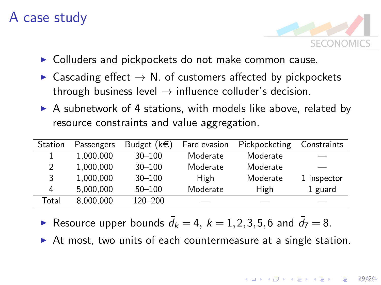#### A case study

![](_page_18_Picture_1.jpeg)

- $\triangleright$  Colluders and pickpockets do not make common cause.
- $\triangleright$  Cascading effect  $\rightarrow$  N. of customers affected by pickpockets through business level  $\rightarrow$  influence colluder's decision.
- $\triangleright$  A subnetwork of 4 stations, with models like above, related by resource constraints and value aggregation.

| Station | Passengers | Budget $(k \in)$ | Fare evasion | Pickpocketing | Constraints |
|---------|------------|------------------|--------------|---------------|-------------|
|         | 1.000.000  | $30 - 100$       | Moderate     | Moderate      |             |
| 2       | 1,000,000  | $30 - 100$       | Moderate     | Moderate      |             |
| 3       | 1,000,000  | $30 - 100$       | High         | Moderate      | 1 inspector |
| 4       | 5.000.000  | $50 - 100$       | Moderate     | High          | 1 guard     |
| Total   | 8,000,000  | $120 - 200$      |              |               |             |

Resource upper bounds  $\bar{d}_k = 4, k = 1, 2, 3, 5, 6$  and  $\bar{d}_7 = 8$ .

 $\triangleright$  At most, two units of each countermeasure at a single station.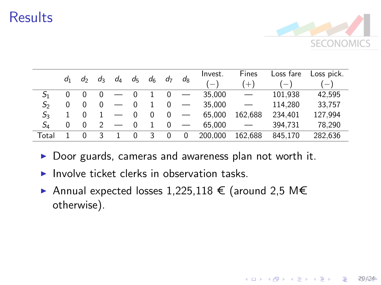#### **Results**

![](_page_19_Picture_1.jpeg)

20 624

B

 $4$  ロ )  $4$   $\overline{r}$  )  $4$   $\overline{z}$  )  $4$   $\overline{z}$  )

|                | $d_1$ | d        | $d_3$ | d4 | $d_5$    | d <sub>6</sub> | d <sub>7</sub> | $d_8$ | Invest. | Fines   | Loss fare | Loss pick. |
|----------------|-------|----------|-------|----|----------|----------------|----------------|-------|---------|---------|-----------|------------|
|                |       |          |       |    |          |                |                |       | $-$     | $(+)$   | $-1$      | $-1$       |
|                |       |          |       |    | $\Omega$ |                |                |       | 35,000  |         | 101,938   | 42,595     |
| S <sub>2</sub> | 0     | $\Omega$ | 0     |    | $\Omega$ |                | 0              |       | 35,000  |         | 114.280   | 33,757     |
| $S_3$          |       |          |       |    | 0        | 0              | 0              |       | 65.000  | 162.688 | 234.401   | 127,994    |
| SΔ             | 0     | $\Omega$ |       |    | $\Omega$ |                |                |       | 65,000  |         | 394.731   | 78.290     |
| Total          |       | U        | 3     |    | $\Omega$ | 3              | 0              | 0     | 200.000 | 162.688 | 845,170   | 282.636    |

- $\triangleright$  Door guards, cameras and awareness plan not worth it.
- $\blacktriangleright$  Involve ticket clerks in observation tasks.
- ▶ Annual expected losses 1,225,118 € (around 2,5 M€ otherwise).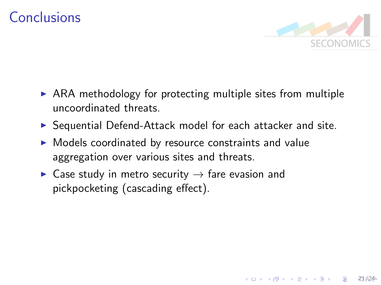#### Conclusions

![](_page_20_Picture_1.jpeg)

 $21/24$ 

- $\triangleright$  ARA methodology for protecting multiple sites from multiple uncoordinated threats.
- $\triangleright$  Sequential Defend-Attack model for each attacker and site.
- $\triangleright$  Models coordinated by resource constraints and value aggregation over various sites and threats.
- $\triangleright$  Case study in metro security  $\rightarrow$  fare evasion and pickpocketing (cascading effect).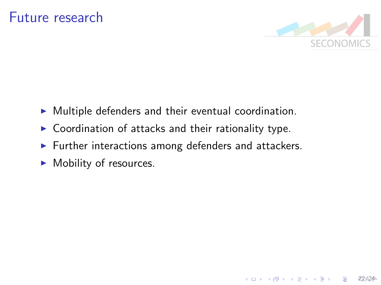![](_page_21_Picture_1.jpeg)

 $22624$ 

B

 $4$  ロ )  $4$   $\overline{r}$  )  $4$   $\overline{z}$  )  $4$   $\overline{z}$  )

- $\triangleright$  Multiple defenders and their eventual coordination.
- $\triangleright$  Coordination of attacks and their rationality type.
- $\blacktriangleright$  Further interactions among defenders and attackers.
- $\blacktriangleright$  Mobility of resources.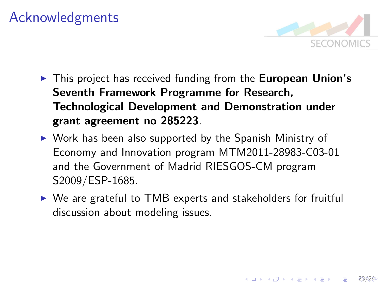#### Acknowledgments

![](_page_22_Picture_1.jpeg)

4 ロ > 4 何 > 4 ヨ > 4 ヨ > ニョ - 23 424

- $\triangleright$  This project has received funding from the **European Union's** Seventh Framework Programme for Research, Technological Development and Demonstration under grant agreement no 285223.
- $\triangleright$  Work has been also supported by the Spanish Ministry of Economy and Innovation program MTM2011-28983-C03-01 and the Government of Madrid RIESGOS-CM program S2009/ESP-1685.
- $\triangleright$  We are grateful to TMB experts and stakeholders for fruitful discussion about modeling issues.